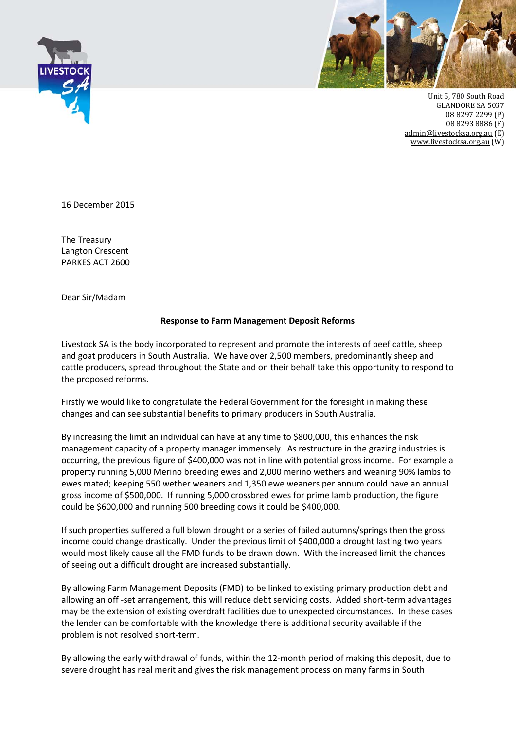



Unit 5, 780 South Road **GLANDORE SA 5037** 08 8297 2299 (P) 08 8293 8886 (F) admin@livestocksa.org.au (E) www.livestocksa.org.au (W)

16 December 2015

The Treasury Langton Crescent PARKES ACT 2600

Dear Sir/Madam

## **Response to Farm Management Deposit Reforms**

Livestock SA is the body incorporated to represent and promote the interests of beef cattle, sheep and goat producers in South Australia. We have over 2,500 members, predominantly sheep and cattle producers, spread throughout the State and on their behalf take this opportunity to respond to the proposed reforms.

Firstly we would like to congratulate the Federal Government for the foresight in making these changes and can see substantial benefits to primary producers in South Australia.

By increasing the limit an individual can have at any time to \$800,000, this enhances the risk management capacity of a property manager immensely. As restructure in the grazing industries is occurring, the previous figure of \$400,000 was not in line with potential gross income. For example a property running 5,000 Merino breeding ewes and 2,000 merino wethers and weaning 90% lambs to ewes mated; keeping 550 wether weaners and 1,350 ewe weaners per annum could have an annual gross income of \$500,000. If running 5,000 crossbred ewes for prime lamb production, the figure could be \$600,000 and running 500 breeding cows it could be \$400,000.

If such properties suffered a full blown drought or a series of failed autumns/springs then the gross income could change drastically. Under the previous limit of \$400,000 a drought lasting two years would most likely cause all the FMD funds to be drawn down. With the increased limit the chances of seeing out a difficult drought are increased substantially.

By allowing Farm Management Deposits (FMD) to be linked to existing primary production debt and allowing an off -set arrangement, this will reduce debt servicing costs. Added short-term advantages may be the extension of existing overdraft facilities due to unexpected circumstances. In these cases the lender can be comfortable with the knowledge there is additional security available if the problem is not resolved short‐term.

By allowing the early withdrawal of funds, within the 12‐month period of making this deposit, due to severe drought has real merit and gives the risk management process on many farms in South